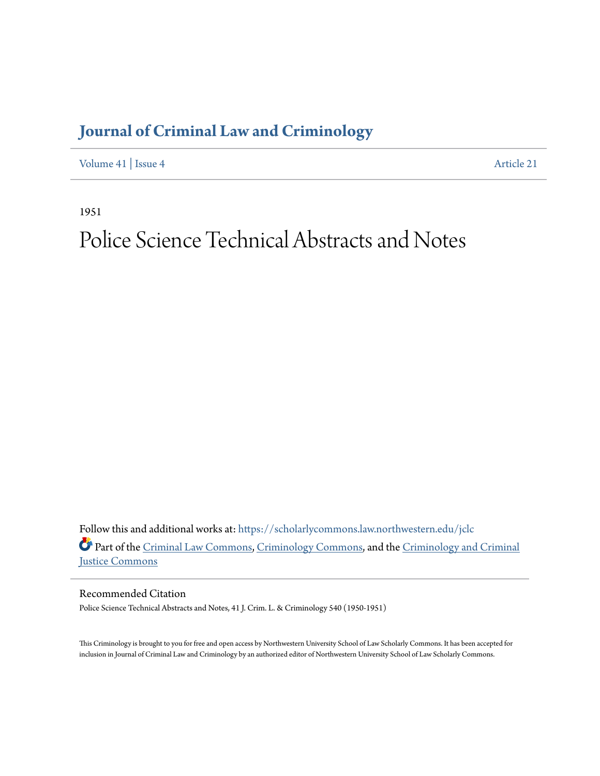# **[Journal of Criminal Law and Criminology](https://scholarlycommons.law.northwestern.edu/jclc?utm_source=scholarlycommons.law.northwestern.edu%2Fjclc%2Fvol41%2Fiss4%2F21&utm_medium=PDF&utm_campaign=PDFCoverPages)**

[Volume 41](https://scholarlycommons.law.northwestern.edu/jclc/vol41?utm_source=scholarlycommons.law.northwestern.edu%2Fjclc%2Fvol41%2Fiss4%2F21&utm_medium=PDF&utm_campaign=PDFCoverPages) | [Issue 4](https://scholarlycommons.law.northwestern.edu/jclc/vol41/iss4?utm_source=scholarlycommons.law.northwestern.edu%2Fjclc%2Fvol41%2Fiss4%2F21&utm_medium=PDF&utm_campaign=PDFCoverPages) [Article 21](https://scholarlycommons.law.northwestern.edu/jclc/vol41/iss4/21?utm_source=scholarlycommons.law.northwestern.edu%2Fjclc%2Fvol41%2Fiss4%2F21&utm_medium=PDF&utm_campaign=PDFCoverPages)

1951

# Police Science Technical Abstracts and Notes

Follow this and additional works at: [https://scholarlycommons.law.northwestern.edu/jclc](https://scholarlycommons.law.northwestern.edu/jclc?utm_source=scholarlycommons.law.northwestern.edu%2Fjclc%2Fvol41%2Fiss4%2F21&utm_medium=PDF&utm_campaign=PDFCoverPages) Part of the [Criminal Law Commons](http://network.bepress.com/hgg/discipline/912?utm_source=scholarlycommons.law.northwestern.edu%2Fjclc%2Fvol41%2Fiss4%2F21&utm_medium=PDF&utm_campaign=PDFCoverPages), [Criminology Commons](http://network.bepress.com/hgg/discipline/417?utm_source=scholarlycommons.law.northwestern.edu%2Fjclc%2Fvol41%2Fiss4%2F21&utm_medium=PDF&utm_campaign=PDFCoverPages), and the [Criminology and Criminal](http://network.bepress.com/hgg/discipline/367?utm_source=scholarlycommons.law.northwestern.edu%2Fjclc%2Fvol41%2Fiss4%2F21&utm_medium=PDF&utm_campaign=PDFCoverPages) [Justice Commons](http://network.bepress.com/hgg/discipline/367?utm_source=scholarlycommons.law.northwestern.edu%2Fjclc%2Fvol41%2Fiss4%2F21&utm_medium=PDF&utm_campaign=PDFCoverPages)

Recommended Citation

Police Science Technical Abstracts and Notes, 41 J. Crim. L. & Criminology 540 (1950-1951)

This Criminology is brought to you for free and open access by Northwestern University School of Law Scholarly Commons. It has been accepted for inclusion in Journal of Criminal Law and Criminology by an authorized editor of Northwestern University School of Law Scholarly Commons.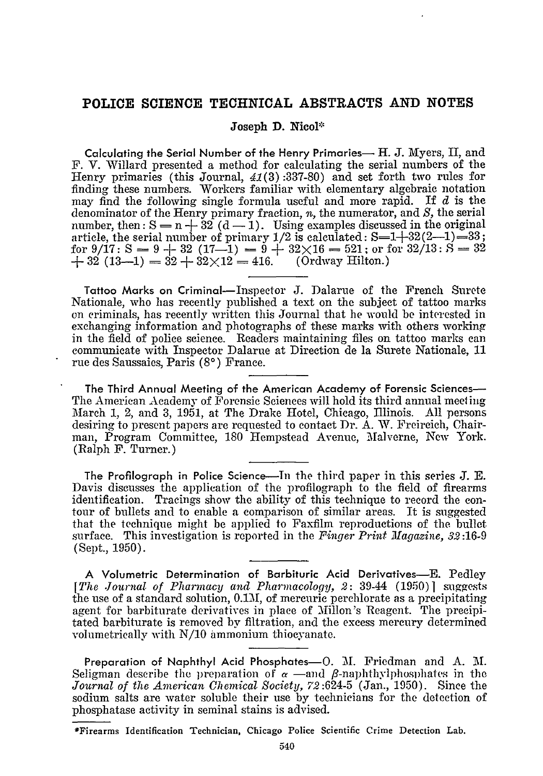## **POLICE SCIENCE TECHNICAL ABSTRACTS AND NOTES**

#### Joseph **D.** Nicol\*

Calculating the Serial Number of the Henry Primaries- H. **J.** Myers, **I,** and F. V. Willard presented a method for calculating the serial numbers of the Henry primaries (this Journal, 41(3):337-80) and set forth two rules for finding these numbers. Workers familiar with elementary algebraic notation may find the following single formula useful and more rapid. If *d* is the denominator of the Henry primary fraction, *n,* the numerator, and **S,** the serial number, then:  $S = n + 32$  (d - 1). Using examples discussed in the original article, the serial number of primary  $1/2$  is calculated:  $S=1+32(2-1)=33$ for 9/17: S = 9 + 32 (17-1) = 9 +  $32\times16 = 521$ ; or for  $32/13$ : S = 32  $+ 32 (13-1) = 32 + 32 \times 12 = 416.$  (Ordway Hilton.)

Tattoo Marks on Criminal- Inspector **J.** Dalarue of the French Surete Nationale, who has recently published a text on the subject of tattoo marks on criminals, has recently written this Journal that he would be interested in exchanging information and photographs of these marks with others working in the field of police science. Readers maintaining files on tattoo marks can communicate with Inspector Dalarue at Direction de la Surete Nationale, 11 rue des Saussaies, Paris **(80)** France.

The Third Annual Meeting of the American Academy of Forensic Sciences-The American Academy of Forensic Sciences will hold its third annual meet ing March 1, 2, and 3, 1951, at The Drake Hotel, Chicago, Illinois. All persons desiring to present papers are requested to contact Dr. A. W. Freireich, Chairman, Program Committee, 180 Hempstead Avenue, Malverne, New York. (Ralph F. Turner.)

The Profilograph in Police Science-In the third paper in this series **J. E.** Davis discusses the application of the profilograph to the field of firearms identification. Tracings show the ability of this technique to record the contour of bullets and to enable a comparison of similar areas. It is suggested that the technique might be applied to Faxfilm reproductions of the bullet surface. This investigation is reported in the *Finger Print Magazine, 32 :16-9* (Sept., 1950).

A Volumetric Determination of Barbituric Acid Derivatives-E. Pedley *[The Journal of Pharmacy and Pharmacology, 2:* 39-44 (1950)] suggests the use of a standard solution, 0.1M, of mercuric perchlorate as a precipitating agent for barbiturate derivatives in place of Millon's Reagent. The precipitated barbiturate is removed by filtration, and the excess mercury determined volumetrically with N/10 ammonium thiocyanate.

Preparation of Naphthyl Acid Phosphates-O. M. Friedman and A. M. Seligman describe the preparation of  $\alpha$  -and  $\beta$ -naphthylphosphates in the *Journal of the American Chemical Society, 72:624-5* (Jan., 1950). Since the sodium salts are water soluble their use by technicians for the detection of phosphatase activity in seminal stains is advised.

<sup>\*</sup>Firearms Identification Technician, **Chicago Police Scientific Crime Detection** Lab.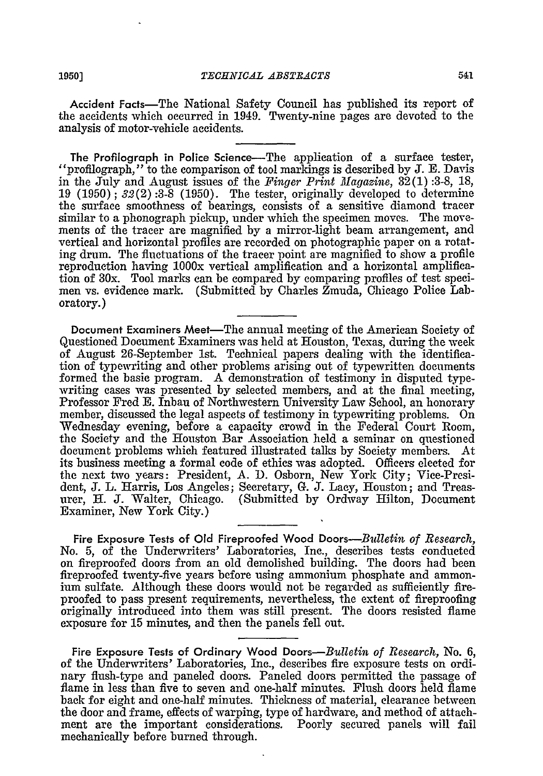Accident Facts—The National Safety Council has published its report of the accidents which occurred in 1949. Twenty-nine pages are devoted to the analysis of motor-vehicle accidents.

The Profilograph in Police Science—The application of a surface tester, "profilograph," to the comparison of tool markings is described by J. E. Davis in the July and August issues of the *Finger Print Magazine,* 32(1) :3-8, 18, 19 (1950) ; *32(2)* :3-8 (1950). The tester, originally developed to determine the surface smoothness of bearings, consists of a sensitive diamond tracer similar to a phonograph pickup, under which the specimen moves. The movements of the tracer are magnified by a mirror-light beam arrangement, and vertical and horizontal profiles are recorded on photographic paper on a rotating drum. The fluctuations of the tracer point are magnified to show a profile reproduction having 1000x vertical amplification and a horizontal amplification of 30x. Tool marks can be compared by comparing profiles of test specimen vs. evidence mark. (Submitted by Charles Zmuda, Chicago Police Laboratory.)

Document Examiners Meet-The annual meeting of the American Society of Questioned Document Examiners was held at Houston, Texas, during the week of August 26-September 1st. Technical papers dealing with the identification of typewriting and other problems arising out of typewritten documents formed the basic program. A demonstration of testimony in disputed typewriting cases was presented by selected members, and at the final meeting, Professor Fred E. Inbau of Northwestern University Law School, an honorary member, discussed the legal aspects of testimony in typewriting problems. On Wednesday evening, before a capacity crowd in the Federal Court Room, the Society and the Houston Bar Association held a seminar on questioned document problems which featured illustrated talks by Society members. At its business meeting a formal code of ethics was adopted. Officers elected for the next two years: President, A. D. Osborn, New York City; Vice-President, J. L. Harris, Los Angeles; Secretary, G. **J.** Lacy, Houston; and Treasurer, H. J. Walter, Chicago. (Submitted by Ordway Hilton, Document Examiner, New York City.)

Fire Exposure Tests of **Old** Fireproofed Wood *Doors-Bulletin, of Research,* No. 5, of the Underwriters' Laboratories, Inc., describes tests conducted on fireproofed doors from an old demolished building. The doors had been fireproofed twenty-five years before using ammonium phosphate and ammonium sulfate. Although these doors would not be regarded as sufficiently fireproofed to pass present requirements, nevertheless, the extent of fireproofing originally introduced into them was still present. The doors resisted flame exposure for **15** minutes, and then the panels fell out.

Fire Exposure Tests of Ordinary Wood *Doors-Bulletin of Research,* No. **6,** of the Underwriters' Laboratories, Inc., describes fire exposure tests on ordinary flush-type and paneled doors. Paneled doors permitted the passage of flame in less than five to seven and one-half minutes. Flush doors held flame back for eight and one-half minutes. Thickness of material, clearance between the door and frame, effects of warping, type of hardware, and method of attachment are the important considerations. Poorly secured panels will fail mechanically before burned through.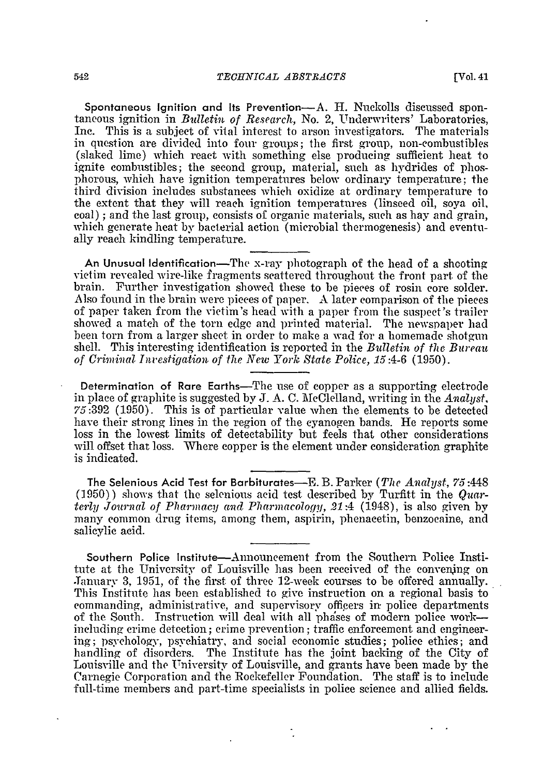Spontaneous Ignition and Its Prevention-A. H. Nuckolls discussed spontaneous ignition in *Bulletin of Research,* No. 2, Underwriters' Laboratories, Inc. This is a subject of vital interest to arson investigators. The materials in question are divided into four groups; the first group, non-combustibles (slaked lime) which react with something else producing sufficient heat to ignite combustibles; the second group, material, such as hydrides of phosphorous, which have ignition temperatures below ordinary temperature; the third division includes substances which oxidize at ordinary temperature to the extent that they will reach ignition temperatures (linseed oil, soya oil, coal) *;* and the last group, consists of organic materials, such as hay and grain, which generate heat by bacterial action (microbial thermogenesis) and eventually reach kindling temperature.

An Unusual Identification-The x-ray photograph of the head of a shooting victim revealed wire-like fragments scattered throughout the front part of the brain. Further investigation showed these to be pieces of rosin core solder. Also found in the brain were pieces of paper. A later comparison of the pieces of paper taken from the victim's head with a paper from the suspect's trailer showed a match of the torn edge and printed material. The newspaper had been torn from a larger sheet in order to make a wad for a homemade shotgun shell. This interesting identification is reported in the *Bulletin of the Bureau of Criminal Inuestigation of the New York State Police, 15:4-6* (1950).

Determination of Rare Earths-The use of copper as a supporting electrode in place of graphite is suggested by J. A. C. McClelland, writing in the *Analyst*, 75:392 (1950). This is of particular value when the elements to be detected have their strong lines in the region of the cyanogen bands. He reports some loss in the lowest limits of detectability but feels that other considerations will offset that loss. Where copper is the element under consideration graphite is indicated.

The Selenious Acid Test for Barbiturates-E. B. Parker *(The Analyst,* 75:448 **(1950))** shows that the selenious acid test described by Turfitt in the *Qua' terly Journal of Pharmacy and Pharmacology, 21:4* (1948), is also given by many common drug items, among them, aspirin, phenacetin, benzoeaine, and salicylic acid.

Southern Police Institute-Announcement from the Southern Police Institute at the University of Louisville has been received of the convening on .January 3, 1951, of the first of three 12-week courses to be offered annually. This Institute has been established to give instruction on a regional basis to commanding, administrative, and supervisory officers in police departments of the South. Instruction will deal with all phases of modern police workincluding crime detection; crime prevention; traffic enforcement and engineering; psychology, psychiatry, and social economic studies; police ethics; and handling of disorders. The Institute has the joint backing of the City of Louisville and the University of Louisville, and grants have been made by the Carnegie Corporation and the Rockefeller Foundation. The staff is to include full-time members and part-time specialists in police science and allied fields.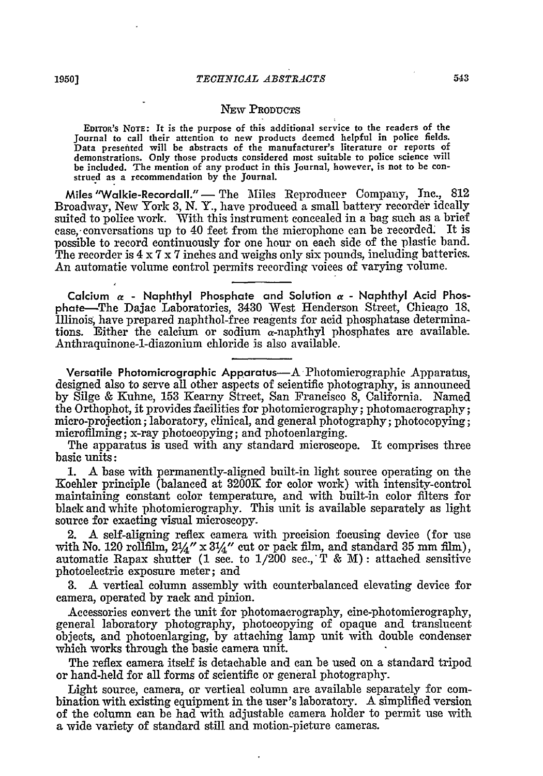#### **NEW PRODUCTS**

**EDrTOR's NOTE: It is** the **purpose** of this additional service to the readers of the Journal **to call their** attention to new products deemed **helpful** in police **fields.** Data presented will be abstracts of the manufacturer's literature or reports **of** demonstrations. Only those products considered most suitable to police science will **be included. The** mention **of** any product in this Journal, however, is **not** to be con- strued **as** a recommendation **by** the Journal.

Miles "Walkie-Recordall." — The Miles Reproducer Company, Inc., 812 Broadway, New York 3, N. Y., have produced a small battery recorder ideally suited to police work. With this instrument concealed in a bag such as a brief case, conversations up to 40 feet from the microphone can be recorded. It is possible to record continuously for one hour on each side of the plastic band. The recorder is 4 x 7 x 7 inches and weighs only six pounds, including batteries. An automatic volume control permits recording voices of varying volume.

Calcium  $\alpha$  **-** Naphthyl Phosphate and Solution  $\alpha$  - Naphthyl Acid Phosphate-The Dajac Laboratories, 3430 West Henderson Street, Chicago **18,** Illinois, have prepared naphthol-free reagents for acid phosphatase determinations. Either the calcium or sodium  $\alpha$ -naphthyl phosphates are available. Anthraquinone-l-diazonium chloride is also available.

Versatile Photomicrographic Apparatus-A-Photomicrographic Apparatus, designed also to serve all other aspects of scientific photography, is announced by Silge & Kuhne, 153 Kearny Street, San Francisco 8, California. Named the Orthophot, it provides facilities for photomicrography; photomacrography; micro-projection; laboratory, clinical, and general photography; photocopying; microfilming; x-ray photocopying; and photoenlarging.

The apparatus is used with any standard microscope. It comprises three basic units:

1. A base with permanently-aligned built-in light source operating on the Koehler principle (balanced at 3200K for color work) with intensity-control maintaining constant color temperature, and with built-in color filters for black and white photomicrography. This unit is available separately as light source for exacting visual microscopy.

2. A self-aligning reflex camera with precision focusing device (for use with No. 120 rollfilm,  $2\frac{1}{4}$   $x$   $3\frac{1}{4}$   $y$  cut or pack film, and standard 35 mm film), automatic Rapax shutter (1 sec. to 1/200 sec., T & M): attached sensitive photoelectric exposure meter; and

3. A vertical column assembly with counterbalanced elevating device for camera, operated by rack and pinion.

Accessories convert the unit for photomacrography, cine-photomicrography, general laboratory photography, photocopying of opaque and translucent objects, and photoenlarging, by attaching lamp unit with double condenser which works through the basic camera unit.

The reflex camera itself is detachable and can be used on a standard tripod or hand-held for all forms of scientific or general photography.

Light source, camera, or vertical column are available separately for combination with existing equipment in the user's laboratory. A simplified version of the column can be had with adjustable camera holder to permit use with a wide variety of standard still and motion-picture cameras.

**I**